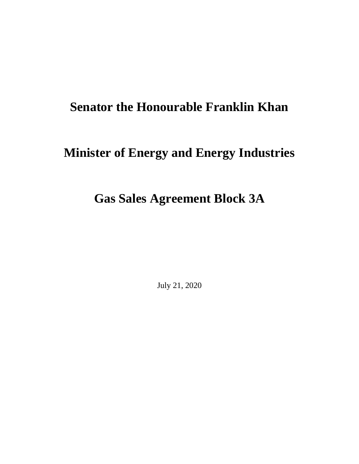## **Senator the Honourable Franklin Khan**

## **Minister of Energy and Energy Industries**

## **Gas Sales Agreement Block 3A**

July 21, 2020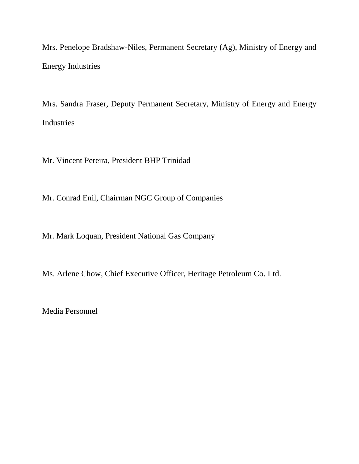Mrs. Penelope Bradshaw-Niles, Permanent Secretary (Ag), Ministry of Energy and Energy Industries

Mrs. Sandra Fraser, Deputy Permanent Secretary, Ministry of Energy and Energy Industries

Mr. Vincent Pereira, President BHP Trinidad

Mr. Conrad Enil, Chairman NGC Group of Companies

Mr. Mark Loquan, President National Gas Company

Ms. Arlene Chow, Chief Executive Officer, Heritage Petroleum Co. Ltd.

Media Personnel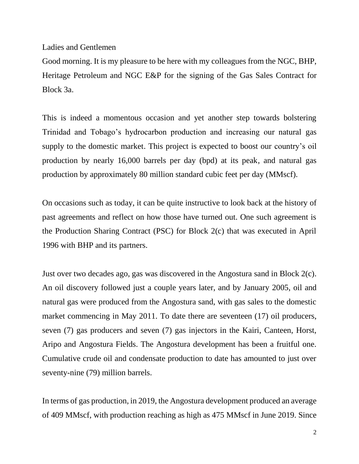Ladies and Gentlemen

Good morning. It is my pleasure to be here with my colleagues from the NGC, BHP, Heritage Petroleum and NGC E&P for the signing of the Gas Sales Contract for Block 3a.

This is indeed a momentous occasion and yet another step towards bolstering Trinidad and Tobago's hydrocarbon production and increasing our natural gas supply to the domestic market. This project is expected to boost our country's oil production by nearly 16,000 barrels per day (bpd) at its peak, and natural gas production by approximately 80 million standard cubic feet per day (MMscf).

On occasions such as today, it can be quite instructive to look back at the history of past agreements and reflect on how those have turned out. One such agreement is the Production Sharing Contract (PSC) for Block 2(c) that was executed in April 1996 with BHP and its partners.

Just over two decades ago, gas was discovered in the Angostura sand in Block 2(c). An oil discovery followed just a couple years later, and by January 2005, oil and natural gas were produced from the Angostura sand, with gas sales to the domestic market commencing in May 2011. To date there are seventeen (17) oil producers, seven (7) gas producers and seven (7) gas injectors in the Kairi, Canteen, Horst, Aripo and Angostura Fields. The Angostura development has been a fruitful one. Cumulative crude oil and condensate production to date has amounted to just over seventy-nine (79) million barrels.

In terms of gas production, in 2019, the Angostura development produced an average of 409 MMscf, with production reaching as high as 475 MMscf in June 2019. Since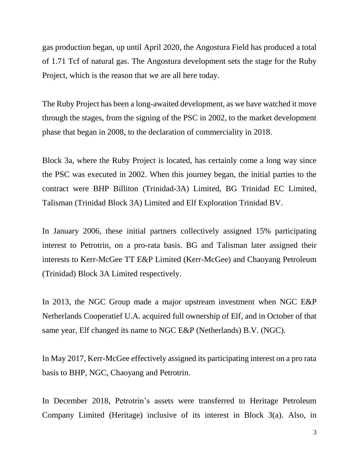gas production began, up until April 2020, the Angostura Field has produced a total of 1.71 Tcf of natural gas. The Angostura development sets the stage for the Ruby Project, which is the reason that we are all here today.

The Ruby Project has been a long-awaited development, as we have watched it move through the stages, from the signing of the PSC in 2002, to the market development phase that began in 2008, to the declaration of commerciality in 2018.

Block 3a, where the Ruby Project is located, has certainly come a long way since the PSC was executed in 2002. When this journey began, the initial parties to the contract were BHP Billiton (Trinidad-3A) Limited, BG Trinidad EC Limited, Talisman (Trinidad Block 3A) Limited and Elf Exploration Trinidad BV.

In January 2006, these initial partners collectively assigned 15% participating interest to Petrotrin, on a pro-rata basis. BG and Talisman later assigned their interests to Kerr-McGee TT E&P Limited (Kerr-McGee) and Chaoyang Petroleum (Trinidad) Block 3A Limited respectively.

In 2013, the NGC Group made a major upstream investment when NGC E&P Netherlands Cooperatief U.A. acquired full ownership of Elf, and in October of that same year, Elf changed its name to NGC E&P (Netherlands) B.V. (NGC).

In May 2017, Kerr-McGee effectively assigned its participating interest on a pro rata basis to BHP, NGC, Chaoyang and Petrotrin.

In December 2018, Petrotrin's assets were transferred to Heritage Petroleum Company Limited (Heritage) inclusive of its interest in Block 3(a). Also, in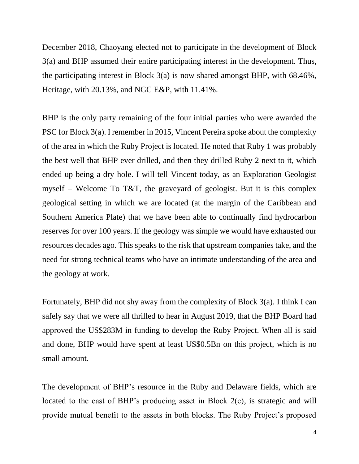December 2018, Chaoyang elected not to participate in the development of Block 3(a) and BHP assumed their entire participating interest in the development. Thus, the participating interest in Block 3(a) is now shared amongst BHP, with 68.46%, Heritage, with 20.13%, and NGC E&P, with 11.41%.

BHP is the only party remaining of the four initial parties who were awarded the PSC for Block 3(a). I remember in 2015, Vincent Pereira spoke about the complexity of the area in which the Ruby Project is located. He noted that Ruby 1 was probably the best well that BHP ever drilled, and then they drilled Ruby 2 next to it, which ended up being a dry hole. I will tell Vincent today, as an Exploration Geologist myself – Welcome To T&T, the graveyard of geologist. But it is this complex geological setting in which we are located (at the margin of the Caribbean and Southern America Plate) that we have been able to continually find hydrocarbon reserves for over 100 years. If the geology was simple we would have exhausted our resources decades ago. This speaks to the risk that upstream companies take, and the need for strong technical teams who have an intimate understanding of the area and the geology at work.

Fortunately, BHP did not shy away from the complexity of Block 3(a). I think I can safely say that we were all thrilled to hear in August 2019, that the BHP Board had approved the US\$283M in funding to develop the Ruby Project. When all is said and done, BHP would have spent at least US\$0.5Bn on this project, which is no small amount.

The development of BHP's resource in the Ruby and Delaware fields, which are located to the east of BHP's producing asset in Block 2(c), is strategic and will provide mutual benefit to the assets in both blocks. The Ruby Project's proposed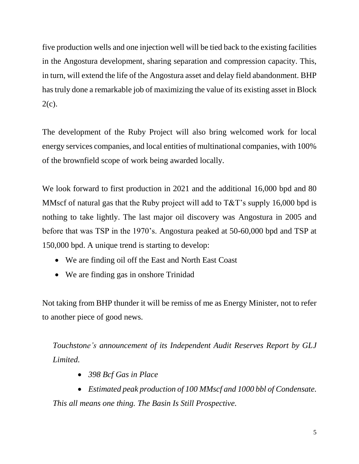five production wells and one injection well will be tied back to the existing facilities in the Angostura development, sharing separation and compression capacity. This, in turn, will extend the life of the Angostura asset and delay field abandonment. BHP has truly done a remarkable job of maximizing the value of its existing asset in Block 2(c).

The development of the Ruby Project will also bring welcomed work for local energy services companies, and local entities of multinational companies, with 100% of the brownfield scope of work being awarded locally.

We look forward to first production in 2021 and the additional 16,000 bpd and 80 MMscf of natural gas that the Ruby project will add to T&T's supply 16,000 bpd is nothing to take lightly. The last major oil discovery was Angostura in 2005 and before that was TSP in the 1970's. Angostura peaked at 50-60,000 bpd and TSP at 150,000 bpd. A unique trend is starting to develop:

- We are finding oil off the East and North East Coast
- We are finding gas in onshore Trinidad

Not taking from BHP thunder it will be remiss of me as Energy Minister, not to refer to another piece of good news.

*Touchstone's announcement of its Independent Audit Reserves Report by GLJ Limited.*

• *398 Bcf Gas in Place*

• *Estimated peak production of 100 MMscf and 1000 bbl of Condensate. This all means one thing. The Basin Is Still Prospective.*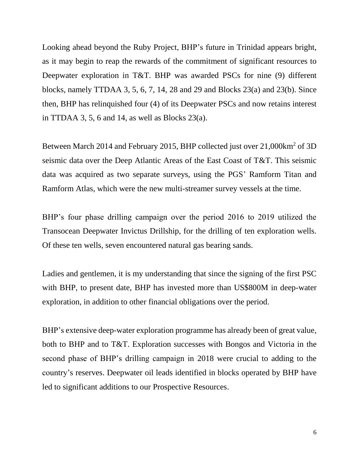Looking ahead beyond the Ruby Project, BHP's future in Trinidad appears bright, as it may begin to reap the rewards of the commitment of significant resources to Deepwater exploration in T&T. BHP was awarded PSCs for nine (9) different blocks, namely TTDAA 3, 5, 6, 7, 14, 28 and 29 and Blocks 23(a) and 23(b). Since then, BHP has relinquished four (4) of its Deepwater PSCs and now retains interest in TTDAA 3, 5, 6 and 14, as well as Blocks  $23(a)$ .

Between March 2014 and February 2015, BHP collected just over 21,000km<sup>2</sup> of 3D seismic data over the Deep Atlantic Areas of the East Coast of T&T. This seismic data was acquired as two separate surveys, using the PGS' Ramform Titan and Ramform Atlas, which were the new multi-streamer survey vessels at the time.

BHP's four phase drilling campaign over the period 2016 to 2019 utilized the Transocean Deepwater Invictus Drillship, for the drilling of ten exploration wells. Of these ten wells, seven encountered natural gas bearing sands.

Ladies and gentlemen, it is my understanding that since the signing of the first PSC with BHP, to present date, BHP has invested more than US\$800M in deep-water exploration, in addition to other financial obligations over the period.

BHP's extensive deep-water exploration programme has already been of great value, both to BHP and to T&T. Exploration successes with Bongos and Victoria in the second phase of BHP's drilling campaign in 2018 were crucial to adding to the country's reserves. Deepwater oil leads identified in blocks operated by BHP have led to significant additions to our Prospective Resources.